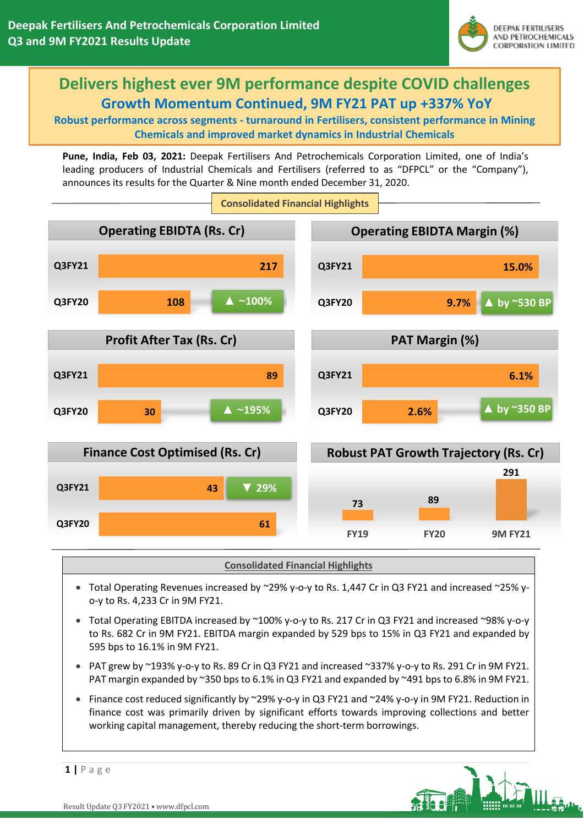

# **Delivers highest ever 9M performance despite COVID challenges Growth Momentum Continued, 9M FY21 PAT up +337% YoY**

**Robust performance across segments - turnaround in Fertilisers, consistent performance in Mining Chemicals and improved market dynamics in Industrial Chemicals**

**Pune, India, Feb 03, 2021:** Deepak Fertilisers And Petrochemicals Corporation Limited, one of India's leading producers of Industrial Chemicals and Fertilisers (referred to as "DFPCL" or the "Company"), announces its results for the Quarter & Nine month ended December 31, 2020.



**Consolidated Financial Highlights**

- Total Operating Revenues increased by ~29% y-o-y to Rs. 1,447 Cr in Q3 FY21 and increased ~25% yo-y to Rs. 4,233 Cr in 9M FY21.
- Total Operating EBITDA increased by ~100% y-o-y to Rs. 217 Cr in Q3 FY21 and increased ~98% y-o-y to Rs. 682 Cr in 9M FY21. EBITDA margin expanded by 529 bps to 15% in Q3 FY21 and expanded by 595 bps to 16.1% in 9M FY21.
- PAT grew by ~193% y-o-y to Rs. 89 Cr in Q3 FY21 and increased ~337% y-o-y to Rs. 291 Cr in 9M FY21. PAT margin expanded by ~350 bps to 6.1% in Q3 FY21 and expanded by ~491 bps to 6.8% in 9M FY21.
- Finance cost reduced significantly by ~29% y-o-y in Q3 FY21 and ~24% y-o-y in 9M FY21. Reduction in finance cost was primarily driven by significant efforts towards improving collections and better working capital management, thereby reducing the short-term borrowings.

**1 |** P a g e

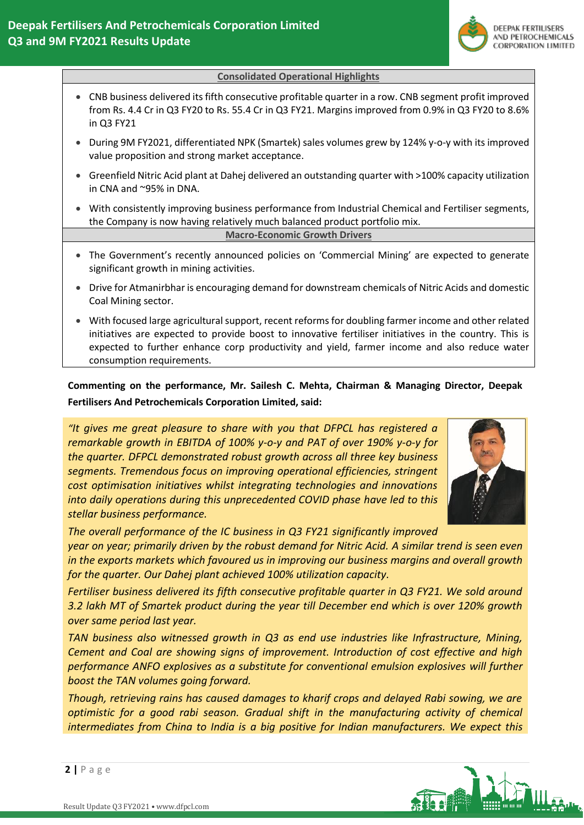

### **Consolidated Operational Highlights**

- CNB business delivered its fifth consecutive profitable quarter in a row. CNB segment profit improved from Rs. 4.4 Cr in Q3 FY20 to Rs. 55.4 Cr in Q3 FY21. Margins improved from 0.9% in Q3 FY20 to 8.6% in Q3 FY21
- During 9M FY2021, differentiated NPK (Smartek) sales volumes grew by 124% y-o-y with its improved value proposition and strong market acceptance.
- Greenfield Nitric Acid plant at Dahej delivered an outstanding quarter with >100% capacity utilization in CNA and ~95% in DNA.
- With consistently improving business performance from Industrial Chemical and Fertiliser segments, the Company is now having relatively much balanced product portfolio mix.

**Macro-Economic Growth Drivers**

- The Government's recently announced policies on 'Commercial Mining' are expected to generate significant growth in mining activities.
- Drive for Atmanirbhar is encouraging demand for downstream chemicals of Nitric Acids and domestic Coal Mining sector.
- With focused large agricultural support, recent reforms for doubling farmer income and other related initiatives are expected to provide boost to innovative fertiliser initiatives in the country. This is expected to further enhance corp productivity and yield, farmer income and also reduce water consumption requirements.

**Commenting on the performance, Mr. Sailesh C. Mehta, Chairman & Managing Director, Deepak Fertilisers And Petrochemicals Corporation Limited, said:**

*"It gives me great pleasure to share with you that DFPCL has registered a remarkable growth in EBITDA of 100% y-o-y and PAT of over 190% y-o-y for the quarter. DFPCL demonstrated robust growth across all three key business segments. Tremendous focus on improving operational efficiencies, stringent cost optimisation initiatives whilst integrating technologies and innovations into daily operations during this unprecedented COVID phase have led to this stellar business performance.*



*The overall performance of the IC business in Q3 FY21 significantly improved*

*year on year; primarily driven by the robust demand for Nitric Acid. A similar trend is seen even in the exports markets which favoured us in improving our business margins and overall growth for the quarter. Our Dahej plant achieved 100% utilization capacity.*

*Fertiliser business delivered its fifth consecutive profitable quarter in Q3 FY21. We sold around 3.2 lakh MT of Smartek product during the year till December end which is over 120% growth over same period last year.* 

*TAN business also witnessed growth in Q3 as end use industries like Infrastructure, Mining, Cement and Coal are showing signs of improvement. Introduction of cost effective and high performance ANFO explosives as a substitute for conventional emulsion explosives will further boost the TAN volumes going forward.*

*Though, retrieving rains has caused damages to kharif crops and delayed Rabi sowing, we are optimistic for a good rabi season. Gradual shift in the manufacturing activity of chemical intermediates from China to India is a big positive for Indian manufacturers. We expect this* 

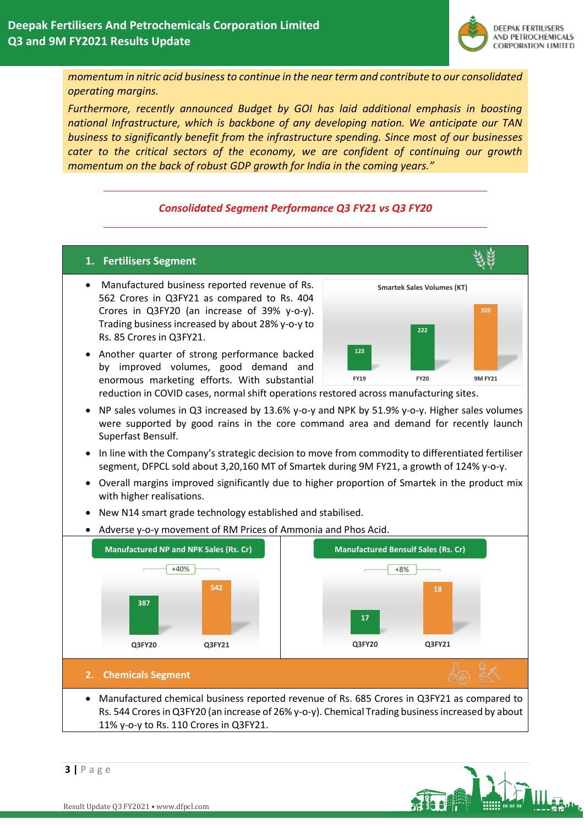

*momentum in nitric acid business to continue in the near term and contribute to our consolidated operating margins.* 

*Furthermore, recently announced Budget by GOI has laid additional emphasis in boosting national Infrastructure, which is backbone of any developing nation. We anticipate our TAN business to significantly benefit from the infrastructure spending. Since most of our businesses cater to the critical sectors of the economy, we are confident of continuing our growth momentum on the back of robust GDP growth for India in the coming years."*

## *Consolidated Segment Performance Q3 FY21 vs Q3 FY20*

## **1. Fertilisers Segment**

- Manufactured business reported revenue of Rs. 562 Crores in Q3FY21 as compared to Rs. 404 Crores in Q3FY20 (an increase of 39% y-o-y). Trading business increased by about 28% y-o-y to Rs. 85 Crores in Q3FY21.
- **123 222 320 FY19 FY20 9M FY21 Smartek Sales Volumes (KT)**
- Another quarter of strong performance backed by improved volumes, good demand and enormous marketing efforts. With substantial
- reduction in COVID cases, normal shift operations restored across manufacturing sites.
- NP sales volumes in Q3 increased by 13.6% y-o-y and NPK by 51.9% y-o-y. Higher sales volumes were supported by good rains in the core command area and demand for recently launch Superfast Bensulf.
- In line with the Company's strategic decision to move from commodity to differentiated fertiliser segment, DFPCL sold about 3,20,160 MT of Smartek during 9M FY21, a growth of 124% y-o-y.
- Overall margins improved significantly due to higher proportion of Smartek in the product mix with higher realisations.
- New N14 smart grade technology established and stabilised.
- Adverse y-o-y movement of RM Prices of Ammonia and Phos Acid.



## Rs. 544 Crores in Q3FY20 (an increase of 26% y-o-y). Chemical Trading business increased by about 11% y-o-y to Rs. 110 Crores in Q3FY21.

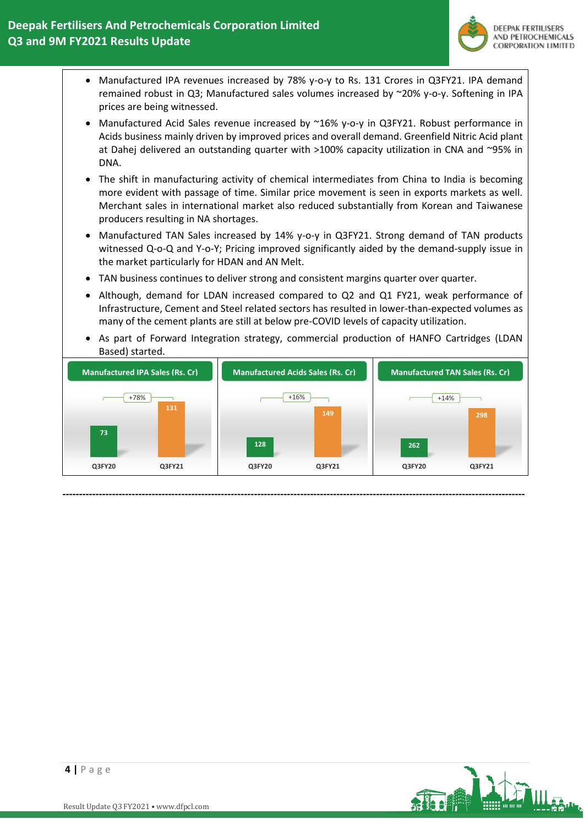

- Manufactured IPA revenues increased by 78% y-o-y to Rs. 131 Crores in Q3FY21. IPA demand remained robust in Q3; Manufactured sales volumes increased by ~20% y-o-y. Softening in IPA prices are being witnessed.
- Manufactured Acid Sales revenue increased by ~16% y-o-y in Q3FY21. Robust performance in Acids business mainly driven by improved prices and overall demand. Greenfield Nitric Acid plant at Dahej delivered an outstanding quarter with >100% capacity utilization in CNA and ~95% in DNA.
- The shift in manufacturing activity of chemical intermediates from China to India is becoming more evident with passage of time. Similar price movement is seen in exports markets as well. Merchant sales in international market also reduced substantially from Korean and Taiwanese producers resulting in NA shortages.
- Manufactured TAN Sales increased by 14% y-o-y in Q3FY21. Strong demand of TAN products witnessed Q-o-Q and Y-o-Y; Pricing improved significantly aided by the demand-supply issue in the market particularly for HDAN and AN Melt.
- TAN business continues to deliver strong and consistent margins quarter over quarter.
- Although, demand for LDAN increased compared to Q2 and Q1 FY21, weak performance of Infrastructure, Cement and Steel related sectors has resulted in lower-than-expected volumes as many of the cement plants are still at below pre-COVID levels of capacity utilization.
- As part of Forward Integration strategy, commercial production of HANFO Cartridges (LDAN Based) started.



**--------------------------------------------------------------------------------------------------------------------------------------------**